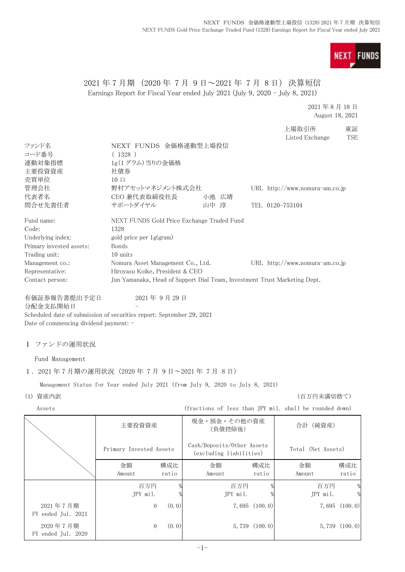

## 2021 年 7 月期 (2020 年 7 月 9 日~2021 年 7 月 8 日) 決算短信 Earnings Report for Fiscal Year ended July 2021 (July 9, 2020 - July 8, 2021)

2021 年 8 月 18 日 August 18, 2021

|                          |                                                                           |       |                 | 上場取引所                            | 東証         |
|--------------------------|---------------------------------------------------------------------------|-------|-----------------|----------------------------------|------------|
|                          |                                                                           |       |                 | Listed Exchange                  | <b>TSE</b> |
| ファンド名                    | NEXT FUNDS 金価格連動型上場投信                                                     |       |                 |                                  |            |
| コード番号                    | (1328)                                                                    |       |                 |                                  |            |
| 連動対象指標                   | 1g(1グラム)当りの金価格                                                            |       |                 |                                  |            |
| 主要投資資産                   | 社債券                                                                       |       |                 |                                  |            |
| 売買単位                     | $10 \Box$                                                                 |       |                 |                                  |            |
| 管理会社                     | 野村アセットマネジメント株式会社                                                          |       |                 | URL $http://www.nomura-am.co.jp$ |            |
| 代表者名                     | CEO 兼代表取締役社長                                                              | 小池 広靖 |                 |                                  |            |
| 間合せ先責任者                  | サポートダイヤル                                                                  | 山中 淳  | TEL 0120-753104 |                                  |            |
| Fund name:               | NEXT FUNDS Gold Price Exchange Traded Fund                                |       |                 |                                  |            |
| Code:                    | 1328                                                                      |       |                 |                                  |            |
| Underlying index:        | gold price per $1g(gram)$                                                 |       |                 |                                  |            |
| Primary invested assets: | <b>Bonds</b>                                                              |       |                 |                                  |            |
| Trading unit:            | 10 units                                                                  |       |                 |                                  |            |
| Management co.:          | Nomura Asset Management Co., Ltd.                                         |       |                 | URL $http://www.nomura-am.co.jp$ |            |
| Representative:          | Hiroyasu Koike, President & CEO                                           |       |                 |                                  |            |
| Contact person:          | Jun Yamanaka, Head of Support Dial Team, Investment Trust Marketing Dept. |       |                 |                                  |            |
| 有価証券報告書提出予定日             | 2021年9月29日                                                                |       |                 |                                  |            |
| 分配金支払開始日                 |                                                                           |       |                 |                                  |            |

Scheduled date of submission of securities report: September 29, 2021 Date of commencing dividend payment: -

Ⅰ ファンドの運用状況

Fund Management

1.2021 年 7 月期の運用状況(2020 年 7 月 9 日~2021 年 7 月 8 日)

Management Status for Year ended July 2021 (from July 9, 2020 to July 8, 2021)

(1) 資産内訳 (百万円未満切捨て)

Assets (fractions of less than JPY mil. shall be rounded down)

|                                | 主要投資資産                  |              | 現金・預金・その他の資産<br>(負債控除後)                               |                   | 合計 (純資産)           |                    |
|--------------------------------|-------------------------|--------------|-------------------------------------------------------|-------------------|--------------------|--------------------|
|                                | Primary Invested Assets |              | Cash/Deposits/Other Assets<br>(excluding liabilities) |                   | Total (Net Assets) |                    |
|                                | 金額<br>Amount            | 構成比<br>ratio | 金額<br>Amount                                          | 構成比<br>ratio      | 金額<br>Amount       | 構成比<br>ratio       |
|                                | 百万円<br>JPY mil.         |              | 百万円<br>JPY mil.                                       |                   | 百万円<br>JPY mil.    | %<br>$\frac{0}{2}$ |
| 2021年7月期<br>FY ended Jul. 2021 | $\overline{0}$          | (0, 0)       |                                                       | $7,695$ $(100.0)$ |                    | 7,695(100.0)       |
| 2020年7月期<br>FY ended Jul. 2020 | 0                       | (0, 0)       |                                                       | $5,739$ $(100.0)$ |                    | $5,739$ $(100.0)$  |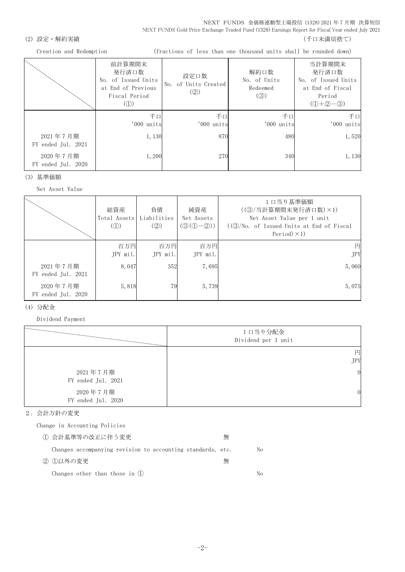NEXT FUNDS 金価格連動型上場投信 (1328) 2021 年 7 月期 決算短信 NEXT FUNDS Gold Price Exchange Traded Fund (1328) Earnings Report for Fiscal Year ended July 2021

### (2) 設定・解約実績 (2) またまま (1) これには はんしゃ (1) これには はんしょう (千口未満切捨て)

Creation and Redemption (fractions of less than one thousand units shall be rounded down)

|                                | 前計算期間末<br>発行済口数<br>No. of Issued Units<br>at End of Previous<br>Fiscal Period<br>$\left( \textcircled{1}\right)$ | 設定口数<br>No. of Units Created<br>(Q) | 解約口数<br>No. of Units<br>Redeemed<br>$\left( \circledS \right)$ | 当計算期間末<br>発行済口数<br>No. of Issued Units<br>at End of Fiscal<br>Period<br>$(① + ② - ③)$ |
|--------------------------------|------------------------------------------------------------------------------------------------------------------|-------------------------------------|----------------------------------------------------------------|---------------------------------------------------------------------------------------|
|                                | 千口<br>'000 units                                                                                                 | 千口<br>'000 units                    | 千口<br>'000 units                                               | 千口<br>'000 units                                                                      |
| 2021年7月期<br>FY ended Jul. 2021 | 1,130                                                                                                            | 870                                 | 480                                                            | 1,520                                                                                 |
| 2020年7月期<br>FY ended Jul. 2020 | 1,200                                                                                                            | 270                                 | 340                                                            | 1,130                                                                                 |

(3) 基準価額

Net Asset Value

|                                | 総資産<br>Total Assets<br>$\mathcal{L}(\mathbb{D})$ | 負債<br>Liabilities<br>$\left( \circled{2} \right)$ | 純資産<br>Net Assets<br>$(\mathcal{D}(\mathbb{O}-\mathbb{Q}))$ | 1 口当り基準価額<br>((3) 当計算期間末発行済口数) ×1)<br>Net Asset Value per 1 unit<br>$((\textcircled{3}/\text{No. of } I$ ssued Units at End of Fiscal<br>Period $)\times$ 1) |
|--------------------------------|--------------------------------------------------|---------------------------------------------------|-------------------------------------------------------------|--------------------------------------------------------------------------------------------------------------------------------------------------------------|
|                                | 百万円<br>JPY mil.                                  | 百万円<br>JPY mil.                                   | 百万円<br>$JPY$ mil.                                           | 円<br><b>JPY</b>                                                                                                                                              |
| 2021年7月期<br>FY ended Jul. 2021 | 8,047                                            | 352                                               | 7,695                                                       | 5,060                                                                                                                                                        |
| 2020年7月期<br>FY ended Jul. 2020 | 5,818                                            | 79                                                | 5,739                                                       | 5,075                                                                                                                                                        |

### (4) 分配金

Dividend Payment

|                                | 1口当り分配金<br>Dividend per 1 unit |
|--------------------------------|--------------------------------|
|                                | 円<br><b>JPY</b>                |
| 2021年7月期<br>FY ended Jul. 2021 | $\mathbf{0}$                   |
| 2020年7月期<br>FY ended Jul. 2020 | $\overline{0}$                 |

### 2.会計方針の変更

Change in Accounting Policies

| ① 会計基準等の改正に伴う変更                                             | 無 |    |
|-------------------------------------------------------------|---|----|
| Changes accompanying revision to accounting standards, etc. |   | No |
| ② ①以外の変更                                                    | 無 |    |
| Changes other than those in $(l)$                           |   | Nο |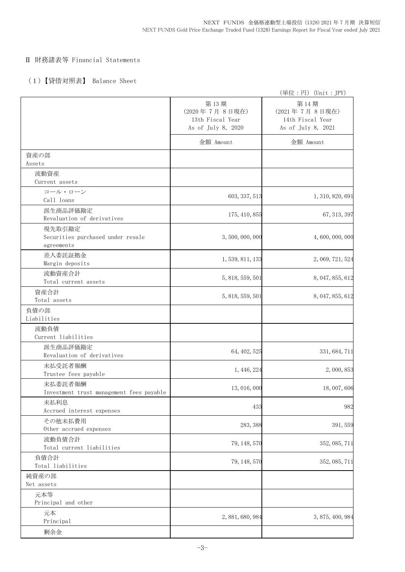### Ⅱ 財務諸表等 Financial Statements

## (1)【貸借対照表】 Balance Sheet

|                                                           |                                                                 | (単位:円) (Unit:JPY)                                               |
|-----------------------------------------------------------|-----------------------------------------------------------------|-----------------------------------------------------------------|
|                                                           | 第13期<br>(2020年7月8日現在)<br>13th Fiscal Year<br>As of July 8, 2020 | 第14期<br>(2021年7月8日現在)<br>14th Fiscal Year<br>As of July 8, 2021 |
|                                                           | 金額 Amount                                                       | 金額 Amount                                                       |
| 資産の部<br>Assets                                            |                                                                 |                                                                 |
| 流動資産<br>Current assets                                    |                                                                 |                                                                 |
| コール・ローン<br>Call loans                                     | 603, 337, 513                                                   | 1, 310, 820, 691                                                |
| 派生商品評価勘定<br>Revaluation of derivatives                    | 175, 410, 855                                                   | 67, 313, 397                                                    |
| 現先取引勘定<br>Securities purchased under resale<br>agreements | 3, 500, 000, 000                                                | 4,600,000,000                                                   |
| 差入委託証拠金<br>Margin deposits                                | 1, 539, 811, 133                                                | 2, 069, 721, 524                                                |
| 流動資産合計<br>Total current assets                            | 5, 818, 559, 501                                                | 8, 047, 855, 612                                                |
| 資産合計<br>Total assets                                      | 5, 818, 559, 501                                                | 8, 047, 855, 612                                                |
| 負債の部<br>Liabilities                                       |                                                                 |                                                                 |
| 流動負債<br>Current liabilities                               |                                                                 |                                                                 |
| 派生商品評価勘定<br>Revaluation of derivatives                    | 64, 402, 525                                                    | 331, 684, 711                                                   |
| 未払受託者報酬<br>Trustee fees payable                           | 1, 446, 224                                                     | 2,000,853                                                       |
| 未払委託者報酬<br>Investment trust management fees payable       | 13, 016, 000                                                    | 18,007,606                                                      |
| 未払利息<br>Accrued interest expenses                         | 433                                                             | 982                                                             |
| その他未払費用<br>Other accrued expenses                         | 283, 388                                                        | 391,559                                                         |
| 流動負債合計<br>Total current liabilities                       | 79, 148, 570                                                    | 352, 085, 711                                                   |
| 負債合計<br>Total liabilities                                 | 79, 148, 570                                                    | 352, 085, 711                                                   |
| 純資産の部<br>Net assets                                       |                                                                 |                                                                 |
| 元本等<br>Principal and other                                |                                                                 |                                                                 |
| 元本<br>Principal                                           | 2, 881, 680, 984                                                | 3, 875, 400, 984                                                |
| 剰余金                                                       |                                                                 |                                                                 |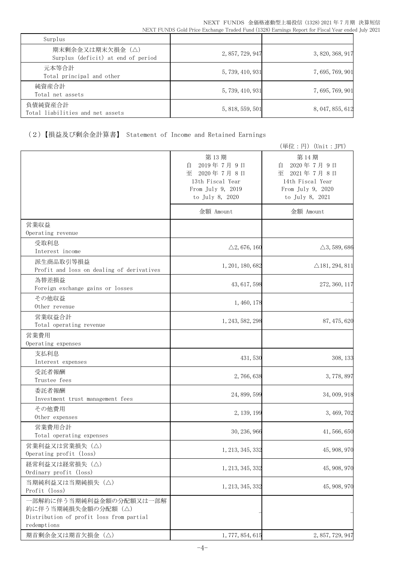| Surplus                                               |                  |                  |
|-------------------------------------------------------|------------------|------------------|
| 期末剰余金又は期末欠損金(△)<br>Surplus (deficit) at end of period | 2, 857, 729, 947 | 3, 820, 368, 917 |
| 元本等合計<br>Total principal and other                    | 5, 739, 410, 931 | 7, 695, 769, 901 |
| 純資産合計<br>Total net assets                             | 5, 739, 410, 931 | 7, 695, 769, 901 |
| 負債純資産合計<br>Total liabilities and net assets           | 5, 818, 559, 501 | 8, 047, 855, 612 |

# (2)【損益及び剰余金計算書】 Statement of Income and Retained Earnings

|                                                                                                           |                                                                                                      | (単位:円) (Unit:JPY)                                                                                 |
|-----------------------------------------------------------------------------------------------------------|------------------------------------------------------------------------------------------------------|---------------------------------------------------------------------------------------------------|
|                                                                                                           | 第13期<br>2019年7月9日<br>自<br>2020年7月8日<br>至<br>13th Fiscal Year<br>From July 9, 2019<br>to July 8, 2020 | 第14期<br>2020年7月9日<br>自<br>至 2021年7月8日<br>14th Fiscal Year<br>From July 9, 2020<br>to July 8, 2021 |
|                                                                                                           | 金額 Amount                                                                                            | 金額 Amount                                                                                         |
| 営業収益<br>Operating revenue                                                                                 |                                                                                                      |                                                                                                   |
| 受取利息<br>Interest income                                                                                   | $\triangle$ 2, 676, 160                                                                              | $\triangle$ 3, 589, 686                                                                           |
| 派生商品取引等損益<br>Profit and loss on dealing of derivatives                                                    | 1, 201, 180, 682                                                                                     | $\triangle$ 181, 294, 811                                                                         |
| 為替差損益<br>Foreign exchange gains or losses                                                                 | 43, 617, 598                                                                                         | 272, 360, 117                                                                                     |
| その他収益<br>Other revenue                                                                                    | 1, 460, 178                                                                                          |                                                                                                   |
| 営業収益合計<br>Total operating revenue                                                                         | 1, 243, 582, 298                                                                                     | 87, 475, 620                                                                                      |
| 営業費用<br>Operating expenses                                                                                |                                                                                                      |                                                                                                   |
| 支払利息<br>Interest expenses                                                                                 | 431, 530                                                                                             | 308, 133                                                                                          |
| 受託者報酬<br>Trustee fees                                                                                     | 2,766,638                                                                                            | 3,778,897                                                                                         |
| 委託者報酬<br>Investment trust management fees                                                                 | 24, 899, 599                                                                                         | 34, 009, 918                                                                                      |
| その他費用<br>Other expenses                                                                                   | 2, 139, 199                                                                                          | 3, 469, 702                                                                                       |
| 営業費用合計<br>Total operating expenses                                                                        | 30, 236, 966                                                                                         | 41, 566, 650                                                                                      |
| 営業利益又は営業損失(△)<br>Operating profit (loss)                                                                  | 1, 213, 345, 332                                                                                     | 45, 908, 970                                                                                      |
| 経常利益又は経常損失 (△)<br>Ordinary profit (loss)                                                                  | 1, 213, 345, 332                                                                                     | 45, 908, 970                                                                                      |
| 当期純利益又は当期純損失 (△)<br>Profit (loss)                                                                         | 1, 213, 345, 332                                                                                     | 45, 908, 970                                                                                      |
| 一部解約に伴う当期純利益金額の分配額又は一部解<br>約に伴う当期純損失金額の分配額 (△)<br>Distribution of profit loss from partial<br>redemptions |                                                                                                      |                                                                                                   |
| 期首剰余金又は期首欠損金 (△)                                                                                          | 1, 777, 854, 615                                                                                     | 2, 857, 729, 947                                                                                  |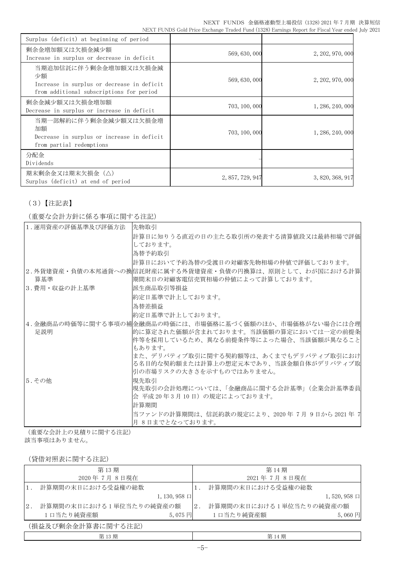| Surplus (deficit) at beginning of period                                                                              |                  |                  |
|-----------------------------------------------------------------------------------------------------------------------|------------------|------------------|
| 剰余金増加額又は欠損金減少額<br>Increase in surplus or decrease in deficit                                                          | 569, 630, 000    | 2, 202, 970, 000 |
| 当期追加信託に伴う剰余金増加額又は欠損金減<br>少額<br>Increase in surplus or decrease in deficit<br>from additional subscriptions for period | 569, 630, 000    | 2, 202, 970, 000 |
| 剰余金減少額又は欠損金増加額<br>Decrease in surplus or increase in deficit                                                          | 703, 100, 000    | 1, 286, 240, 000 |
| 当期一部解約に伴う剰余金減少額又は欠損金増<br>加額<br>Decrease in surplus or increase in deficit<br>from partial redemptions                 | 703, 100, 000    | 1, 286, 240, 000 |
| 分配金<br>Dividends                                                                                                      |                  |                  |
| 期末剰余金又は期末欠損金(△)<br>Surplus (deficit) at end of period                                                                 | 2, 857, 729, 947 | 3, 820, 368, 917 |

## (3)【注記表】

(重要な会計方針に係る事項に関する注記)

| 1. 運用資産の評価基準及び評価方法 | 先物取引                                                                           |
|--------------------|--------------------------------------------------------------------------------|
|                    | 計算日に知りうる直近の日の主たる取引所の発表する清算値段又は最終相場で評価                                          |
|                    | しております。                                                                        |
|                    | 為替予約取引                                                                         |
|                    | 計算日において予約為替の受渡日の対顧客先物相場の仲値で評価しております。                                           |
|                    | 2.外貨建資産・負債の本邦通貨への換信託財産に属する外貨建資産・負債の円換算は、原則として、わが国における計算                        |
| 算基準                | 期間末日の対顧客電信売買相場の仲値によって計算しております。                                                 |
| 3.費用・収益の計上基準       | 派生商品取引等損益                                                                      |
|                    | 約定日基準で計上しております。                                                                |
|                    | 為替差損益                                                                          |
|                    | 約定日基準で計上しております。                                                                |
|                    | 4.金融商品の時価等に関する事項の補金融商品の時価には、市場価格に基づく価額のほか、市場価格がない場合には合理                        |
| 足説明                | 的に算定された価額が含まれております。当該価額の算定においては一定の前提条                                          |
|                    | 件等を採用しているため、異なる前提条件等によった場合、当該価額が異なること                                          |
|                    | もあります。                                                                         |
|                    | また、デリバティブ取引に関する契約額等は、あくまでもデリバティブ取引におけ<br>る名目的な契約額または計算上の想定元本であり、当該金額自体がデリバティブ取 |
|                    | 引の市場リスクの大きさを示すものではありません。                                                       |
| 5. その他             | 現先取引                                                                           |
|                    | 現先取引の会計処理については、「金融商品に関する会計基準」(企業会計基準委員                                         |
|                    | 会 平成 20 年 3 月 10 日)の規定によっております。                                                |
|                    | 計算期間                                                                           |
|                    | 当ファンドの計算期間は、信託約款の規定により、2020年7月9日から2021年7                                       |
|                    | 月 8日までとなっております。                                                                |

(重要な会計上の見積りに関する注記)

該当事項はありません。

(貸借対照表に関する注記)

| 第13期 |                             |       | 第14期                    |                     |  |
|------|-----------------------------|-------|-------------------------|---------------------|--|
|      | 2020年7月8日現在                 |       | 2021年7月8日現在             |                     |  |
|      | 計算期間の末日における受益権の総数           |       | 計算期間の末日における受益権の総数       |                     |  |
|      | $1, 130, 958 \Box$          |       |                         | $1,520,958 \square$ |  |
| 2.   | 計算期間の末日における1単位当たりの純資産の額     | $2$ . | 計算期間の末日における1単位当たりの純資産の額 |                     |  |
|      | 1口当たり純資産額<br>$5,075$ $\Box$ |       | 1口当たり純資産額               | $5,060$ 円           |  |
|      | (損益及び剰余金計算書に関する注記)          |       |                         |                     |  |
|      | 第13期                        |       | 第14期                    |                     |  |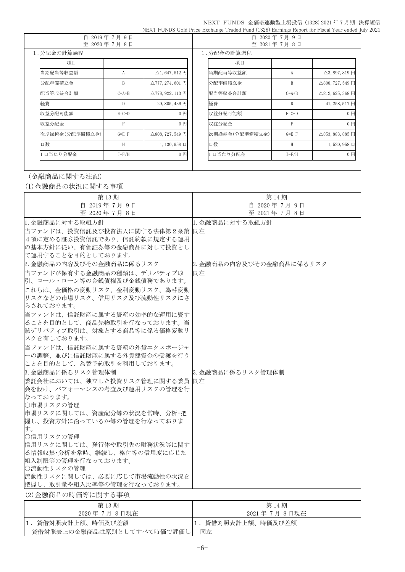### NEXT FUNDS 金価格連動型上場投信 (1328) 2021 年 7 月期 決算短信 NEXT FUNDS Gold Price Exchange Traded Fund (1328) Earnings Report for Fiscal Year ended July 2021

| 白<br>2019年7月9日<br>至 2020年7月8日 |             |                                          | 自<br>2020年7月9日<br>至 2021年7月8日 |                |              |                                          |
|-------------------------------|-------------|------------------------------------------|-------------------------------|----------------|--------------|------------------------------------------|
| 1. 分配金の計算過程                   |             |                                          | 1. 分配金の計算過程                   |                |              |                                          |
| 項目                            |             |                                          |                               | 項目             |              |                                          |
| 当期配当等収益額                      | A           | $\triangle$ 1, 647, 512 円                |                               | 当期配当等収益額       | А            | $\triangle$ 3, 897, 819円                 |
| 分配準備積立金                       | B           | $\triangle$ 777, 274, 601 $\overline{H}$ |                               | 分配準備積立金        | B            | $\triangle$ 808, 727, 549 円              |
| 配当等収益合計額                      | $C=A+B$     | $\triangle$ 778, 922, 113 円              |                               | 配当等収益合計額       | $C=A+B$      | $\triangle$ 812, 625, 368 円              |
| 経費                            | D           | 29,805,436円                              |                               | 経費             | D            | 41, 258, 517 円                           |
| 収益分配可能額                       | $E=C-D$     | $0$ $H$                                  |                               | 収益分配可能額        | $E=C-D$      | $0$ 円                                    |
| 収益分配金                         | F           | 0円                                       |                               | 収益分配金          | $\mathsf{F}$ | 0 <sub>1</sub>                           |
| 次期繰越金(分配準備積立金)                | $G = E - F$ | $\triangle$ 808, 727, 549 $\Box$         |                               | 次期繰越金(分配準備積立金) | $G = E - F$  | $\triangle$ 853, 883, 885 $\overline{H}$ |
| 口数                            | H           | $1, 130, 958 \Box$                       |                               | 口数             | H            | $1,520,958 \Box$                         |
| 口当たり分配金                       | $I = F/H$   | $0$ 円                                    |                               | 口当たり分配金        | $I = F/H$    | 0円                                       |

# (金融商品に関する注記)

(1)金融商品の状況に関する事項

| 第13期                                        | 第14期                     |
|---------------------------------------------|--------------------------|
| 自 2019年7月9日                                 | 自 2020年7月9日              |
| 至 2020年7月8日                                 | 至 2021年7月8日              |
| 1. 金融商品に対する取組方針                             | 1. 金融商品に対する取組方針          |
| 当ファンドは、投資信託及び投資法人に関する法律第2条第                 | 同左                       |
| 4項に定める証券投資信託であり、信託約款に規定する運用                 |                          |
| の基本方針に従い、有価証券等の金融商品に対して投資とし                 |                          |
| て運用することを目的としております。                          |                          |
| 2. 金融商品の内容及びその金融商品に係るリスク                    | 2. 金融商品の内容及びその金融商品に係るリスク |
| 当ファンドが保有する金融商品の種類は、デリバティブ取                  | 同左                       |
| 引、コール・ローン等の金銭債権及び金銭債務であります。                 |                          |
| これらは、金価格の変動リスク、金利変動リスク、為替変動                 |                          |
| リスクなどの市場リスク、信用リスク及び流動性リスクにさ                 |                          |
| らされております。                                   |                          |
| 当ファンドは、信託財産に属する資産の効率的な運用に資す                 |                          |
| ることを目的として、商品先物取引を行なっております。当                 |                          |
| 該デリバティブ取引は、対象とする商品等に係る価格変動リ<br> スクを有しております。 |                          |
| 当ファンドは、信託財産に属する資産の外貨エクスポージャ                 |                          |
| 一の調整、並びに信託財産に属する外貨建資金の受渡を行う                 |                          |
| ことを目的として、為替予約取引を利用しております。                   |                          |
| 3. 金融商品に係るリスク管理体制                           | 3. 金融商品に係るリスク管理体制        |
| 委託会社においては、独立した投資リスク管理に関する委員同左               |                          |
| 会を設け、パフォーマンスの考査及び運用リスクの管理を行                 |                          |
| なっております。                                    |                          |
| ○市場リスクの管理                                   |                          |
| 市場リスクに関しては、資産配分等の状況を常時、分析・把                 |                          |
| 握し、投資方針に沿っているか等の管理を行なっておりま                  |                          |
| す。                                          |                          |
| ○信用リスクの管理                                   |                          |
| 信用リスクに関しては、発行体や取引先の財務状況等に関す                 |                          |
| る情報収集・分析を常時、継続し、格付等の信用度に応じた                 |                          |
| 組入制限等の管理を行なっております。<br>○流動性リスクの管理            |                          |
| 流動性リスクに関しては、必要に応じて市場流動性の状況を                 |                          |
| 把握し、取引量や組入比率等の管理を行なっております。                  |                          |
| (2) 金融商品の時価等に関する事項                          |                          |
|                                             |                          |

| 第13期                       | 第 14 期            |
|----------------------------|-------------------|
| 2020 年 7月 8日現在             | 2021年 7月 8日現在     |
| 1.貸借対照表計上額、時価及び差額          | 1.貸借対照表計上額、時価及び差額 |
| 貸借対照表上の金融商品は原則としてすべて時価で評価し | 同左                |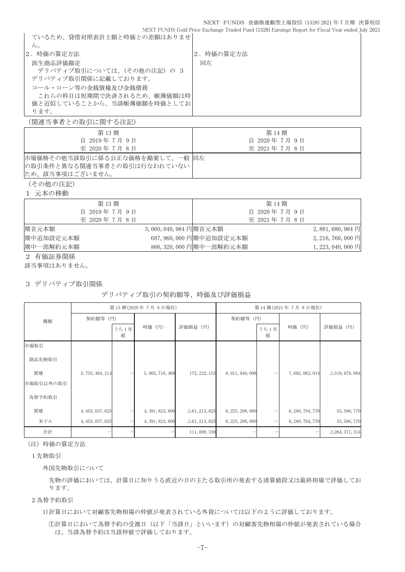NEXT FUNDS Gold Price Exchange Traded Fund (1328) Earnings Report for Fiscal Year ended July 2021 ているため、貸借対照表計上額と時価との差額はありませ  $h_{\circ}$ |2.時価の算定方法 | 2.時価の算定方法 派生商品評価勘定 デリバティブ取引については、(その他の注記)の3 デリバティブ取引関係に記載しております。 コール・ローン等の金銭債権及び金銭債務 これらの科目は短期間で決済されるため、帳簿価額は時 価と近似していることから、当該帳簿価額を時価としてお ります。 同左

(関連当事者との取引に関する注記)

| 第13期                          | 第14期        |
|-------------------------------|-------------|
| 自 2019年7月9日                   | 自 2020年7月9日 |
| 至 2020年7月8日                   | 至 2021年7月8日 |
| 市場価格その他当該取引に係る公正な価格を勘案して、一般同左 |             |
| の取引条件と異なる関連当事者との取引は行なわれていない   |             |
| ため、該当事項はございません。               |             |
|                               |             |

(その他の注記)

1 元本の移動

| 第13期                                             |                      | 第14期                     |                    |
|--------------------------------------------------|----------------------|--------------------------|--------------------|
| 自 2019年7月9日                                      |                      | 自 2020年7月9日              |                    |
| 至 2020年7月8日                                      |                      | 至 2021年7月8日              |                    |
| 期首元本額                                            | 3,060,040,984 円期首元本額 |                          | $2,881,680,984$ 円  |
| 期中追加設定元本額                                        |                      | 687, 960, 000 円期中追加設定元本額 | $2,216,760,000$ 円  |
| 期中一部解約元本額                                        |                      | 866, 320, 000 円期中一部解約元本額 | 1, 223, 040, 000 円 |
| $\sim$ $\sim$ $\sim$ $\sim$ $\sim$ $\sim$ $\sim$ |                      |                          |                    |

2 有価証券関係

該当事項はありません。

3 デリバティブ取引関係

### デリバティブ取引の契約額等、時価及び評価損益

|           | 第13期(2020年7月8日現在) |           |                  |                          | 第14期(2021年7月8日現在) |           |                  |                           |
|-----------|-------------------|-----------|------------------|--------------------------|-------------------|-----------|------------------|---------------------------|
| 種類        | 契約額等 (円)          |           |                  |                          | 契約額等 (円)          |           |                  |                           |
|           |                   | うち1年<br>超 | 時価 (円)           | 評価損益 (円)                 |                   | うち1年<br>超 | 時価 (円)           | 評価損益 (円)                  |
| 市場取引      |                   |           |                  |                          |                   |           |                  |                           |
| 商品先物取引    |                   |           |                  |                          |                   |           |                  |                           |
| 買建        | 5, 733, 494, 214  |           | 5, 905, 716, 369 | 172, 222, 155            | 8, 011, 940, 098  |           | 7, 692, 062, 014 | $\triangle$ 319, 878, 084 |
| 市場取引以外の取引 |                   |           |                  |                          |                   |           |                  |                           |
| 為替予約取引    |                   |           |                  |                          |                   |           |                  |                           |
| 買建        | 4, 453, 037, 625  |           | 4, 391, 823, 800 | $\triangle 61, 213, 825$ | 6, 225, 288, 000  |           | 6, 280, 794, 770 | 55, 506, 770              |
| 米ドル       | 4, 453, 037, 625  | -         | 4, 391, 823, 800 | $\triangle 61, 213, 825$ | 6, 225, 288, 000  | —         | 6, 280, 794, 770 | 55, 506, 770              |
| 合計        |                   |           |                  | 111, 008, 330            |                   |           |                  | $\triangle$ 264, 371, 314 |

(注)時価の算定方法

### 1先物取引

外国先物取引について

先物の評価においては、計算日に知りうる直近の日の主たる取引所の発表する清算値段又は最終相場で評価してお ります。

2為替予約取引

1)計算日において対顧客先物相場の仲値が発表されている外貨については以下のように評価しております。

①計算日において為替予約の受渡日(以下「当該日」といいます)の対顧客先物相場の仲値が発表されている場合 は、当該為替予約は当該仲値で評価しております。